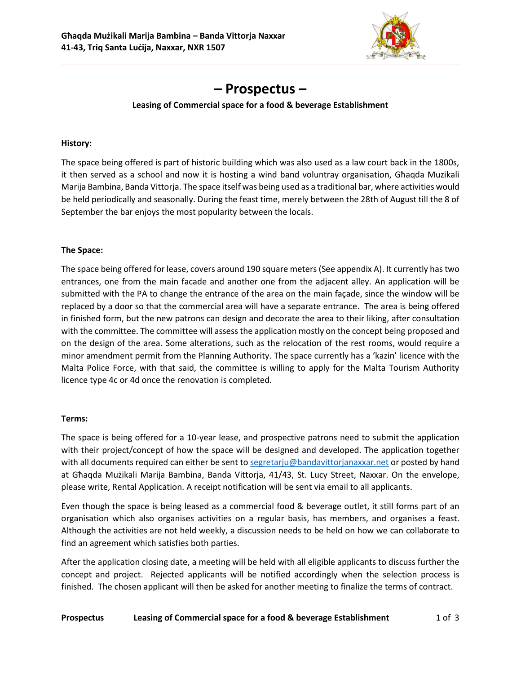

# **– Prospectus –**

# **Leasing of Commercial space for a food & beverage Establishment**

## **History:**

The space being offered is part of historic building which was also used as a law court back in the 1800s, it then served as a school and now it is hosting a wind band voluntray organisation, Għaqda Muzikali Marija Bambina, Banda Vittorja. The space itself was being used as a traditional bar, where activities would be held periodically and seasonally. During the feast time, merely between the 28th of August till the 8 of September the bar enjoys the most popularity between the locals.

# **The Space:**

The space being offered for lease, covers around 190 square meters (See appendix A). It currently hastwo entrances, one from the main facade and another one from the adjacent alley. An application will be submitted with the PA to change the entrance of the area on the main façade, since the window will be replaced by a door so that the commercial area will have a separate entrance. The area is being offered in finished form, but the new patrons can design and decorate the area to their liking, after consultation with the committee. The committee will assess the application mostly on the concept being proposed and on the design of the area. Some alterations, such as the relocation of the rest rooms, would require a minor amendment permit from the Planning Authority. The space currently has a 'kazin' licence with the Malta Police Force, with that said, the committee is willing to apply for the Malta Tourism Authority licence type 4c or 4d once the renovation is completed.

## **Terms:**

The space is being offered for a 10-year lease, and prospective patrons need to submit the application with their project/concept of how the space will be designed and developed. The application together with all documents required can either be sent to [segretarju@bandavittorjanaxxar.net](mailto:segretarju@bandavittorjanaxxar.net) or posted by hand at Għaqda Mużikali Marija Bambina, Banda Vittorja, 41/43, St. Lucy Street, Naxxar. On the envelope, please write, Rental Application. A receipt notification will be sent via email to all applicants.

Even though the space is being leased as a commercial food & beverage outlet, it still forms part of an organisation which also organises activities on a regular basis, has members, and organises a feast. Although the activities are not held weekly, a discussion needs to be held on how we can collaborate to find an agreement which satisfies both parties.

After the application closing date, a meeting will be held with all eligible applicants to discuss further the concept and project. Rejected applicants will be notified accordingly when the selection process is finished. The chosen applicant will then be asked for another meeting to finalize the terms of contract.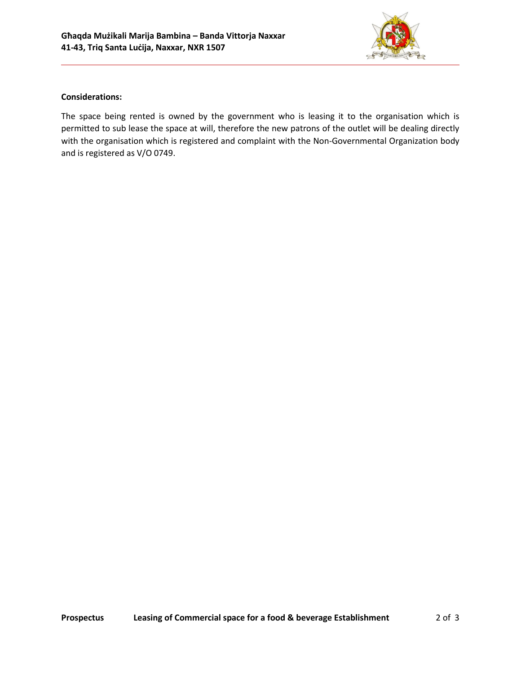

## **Considerations:**

The space being rented is owned by the government who is leasing it to the organisation which is permitted to sub lease the space at will, therefore the new patrons of the outlet will be dealing directly with the organisation which is registered and complaint with the Non-Governmental Organization body and is registered as V/O 0749.